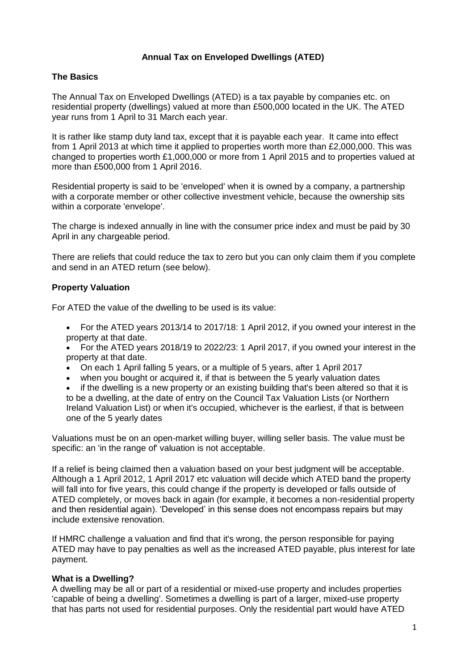## **Annual Tax on Enveloped Dwellings (ATED)**

## **The Basics**

The Annual Tax on Enveloped Dwellings (ATED) is a tax payable by companies etc. on residential property (dwellings) valued at more than £500,000 located in the UK. The ATED year runs from 1 April to 31 March each year.

It is rather like stamp duty land tax, except that it is payable each year. It came into effect from 1 April 2013 at which time it applied to properties worth more than £2,000,000. This was changed to properties worth £1,000,000 or more from 1 April 2015 and to properties valued at more than £500,000 from 1 April 2016.

Residential property is said to be 'enveloped' when it is owned by a company, a partnership with a corporate member or other collective investment vehicle, because the ownership sits within a corporate 'envelope'.

The charge is indexed annually in line with the consumer price index and must be paid by 30 April in any chargeable period.

There are reliefs that could reduce the tax to zero but you can only claim them if you complete and send in an ATED return (see below).

## **Property Valuation**

For ATED the value of the dwelling to be used is its value:

 For the ATED years 2013/14 to 2017/18: 1 April 2012, if you owned your interest in the property at that date.

 For the ATED years 2018/19 to 2022/23: 1 April 2017, if you owned your interest in the property at that date.

- On each 1 April falling 5 years, or a multiple of 5 years, after 1 April 2017
- when you bought or acquired it, if that is between the 5 yearly valuation dates
- if the dwelling is a new property or an existing building that's been altered so that it is

to be a dwelling, at the date of entry on the Council Tax Valuation Lists (or Northern Ireland Valuation List) or when it's occupied, whichever is the earliest, if that is between one of the 5 yearly dates

Valuations must be on an open-market willing buyer, willing seller basis. The value must be specific: an 'in the range of' valuation is not acceptable.

If a relief is being claimed then a valuation based on your best judgment will be acceptable. Although a 1 April 2012, 1 April 2017 etc valuation will decide which ATED band the property will fall into for five years, this could change if the property is developed or falls outside of ATED completely, or moves back in again (for example, it becomes a non-residential property and then residential again). 'Developed' in this sense does not encompass repairs but may include extensive renovation.

If HMRC challenge a valuation and find that it's wrong, the person responsible for paying ATED may have to pay penalties as well as the increased ATED payable, plus interest for late payment.

## **What is a Dwelling?**

A dwelling may be all or part of a residential or mixed-use property and includes properties 'capable of being a dwelling'. Sometimes a dwelling is part of a larger, mixed-use property that has parts not used for residential purposes. Only the residential part would have ATED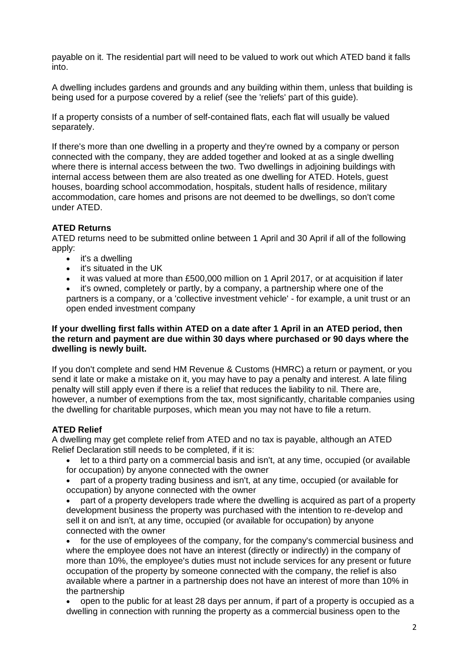payable on it. The residential part will need to be valued to work out which ATED band it falls into.

A dwelling includes gardens and grounds and any building within them, unless that building is being used for a purpose covered by a relief (see the 'reliefs' part of this guide).

If a property consists of a number of self-contained flats, each flat will usually be valued separately.

If there's more than one dwelling in a property and they're owned by a company or person connected with the company, they are added together and looked at as a single dwelling where there is internal access between the two. Two dwellings in adjoining buildings with internal access between them are also treated as one dwelling for ATED. Hotels, guest houses, boarding school accommodation, hospitals, student halls of residence, military accommodation, care homes and prisons are not deemed to be dwellings, so don't come under ATED.

# **ATED Returns**

ATED returns need to be submitted online between 1 April and 30 April if all of the following apply:

- $\bullet$  it's a dwelling
- it's situated in the UK
- it was valued at more than £500,000 million on 1 April 2017, or at acquisition if later
- it's owned, completely or partly, by a company, a partnership where one of the partners is a company, or a 'collective investment vehicle' - for example, a unit trust or an open ended investment company

## **If your dwelling first falls within ATED on a date after 1 April in an ATED period, then the return and payment are due within 30 days where purchased or 90 days where the dwelling is newly built.**

If you don't complete and send HM Revenue & Customs (HMRC) a return or payment, or you send it late or make a mistake on it, you may have to pay a penalty and interest. A late filing penalty will still apply even if there is a relief that reduces the liability to nil. There are, however, a number of exemptions from the tax, most significantly, charitable companies using the dwelling for charitable purposes, which mean you may not have to file a return.

## **ATED Relief**

A dwelling may get complete relief from ATED and no tax is payable, although an ATED Relief Declaration still needs to be completed, if it is:

- let to a third party on a commercial basis and isn't, at any time, occupied (or available
- for occupation) by anyone connected with the owner
- part of a property trading business and isn't, at any time, occupied (or available for occupation) by anyone connected with the owner
- part of a property developers trade where the dwelling is acquired as part of a property development business the property was purchased with the intention to re-develop and sell it on and isn't, at any time, occupied (or available for occupation) by anyone connected with the owner
- for the use of employees of the company, for the company's commercial business and where the employee does not have an interest (directly or indirectly) in the company of more than 10%, the employee's duties must not include services for any present or future occupation of the property by someone connected with the company, the relief is also available where a partner in a partnership does not have an interest of more than 10% in the partnership
- open to the public for at least 28 days per annum, if part of a property is occupied as a dwelling in connection with running the property as a commercial business open to the